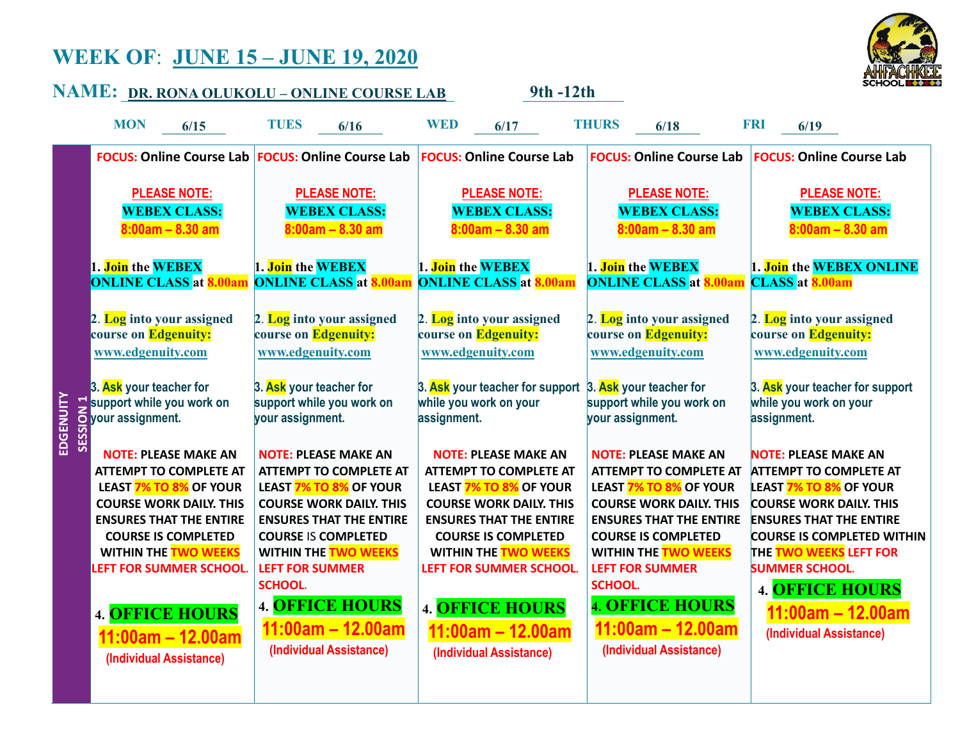## **WEEK OF**: **JUNE 15 – JUNE 19, 2020**



| SCHOOL KIK<br><u> NAME: pr. rona olukolu - online course lab</u><br>9th -12th |                                                                                                                                                                                                                                                    |                                                                                                                                                                                                                                                                     |                                                                                                                                                                                                                                                    |                                                                                                                                                                                                                                                                     |                                                                                                                                                                                                                                                                                     |  |
|-------------------------------------------------------------------------------|----------------------------------------------------------------------------------------------------------------------------------------------------------------------------------------------------------------------------------------------------|---------------------------------------------------------------------------------------------------------------------------------------------------------------------------------------------------------------------------------------------------------------------|----------------------------------------------------------------------------------------------------------------------------------------------------------------------------------------------------------------------------------------------------|---------------------------------------------------------------------------------------------------------------------------------------------------------------------------------------------------------------------------------------------------------------------|-------------------------------------------------------------------------------------------------------------------------------------------------------------------------------------------------------------------------------------------------------------------------------------|--|
|                                                                               | <b>MON</b><br>6/15                                                                                                                                                                                                                                 | <b>TUES</b><br>6/16                                                                                                                                                                                                                                                 | <b>WED</b><br>6/17                                                                                                                                                                                                                                 | <b>THURS</b><br>6/18                                                                                                                                                                                                                                                | <b>FRI</b><br>6/19                                                                                                                                                                                                                                                                  |  |
|                                                                               |                                                                                                                                                                                                                                                    | <b>FOCUS: Online Course Lab FOCUS: Online Course Lab</b>                                                                                                                                                                                                            | <b>FOCUS: Online Course Lab</b>                                                                                                                                                                                                                    | <b>FOCUS: Online Course Lab</b>                                                                                                                                                                                                                                     | <b>FOCUS: Online Course Lab</b>                                                                                                                                                                                                                                                     |  |
| EDGENUITY                                                                     | <b>PLEASE NOTE:</b><br><b>WEBEX CLASS:</b><br>$8:00am - 8.30am$                                                                                                                                                                                    | <b>PLEASE NOTE:</b><br><b>WEBEX CLASS:</b><br>$8:00am - 8.30am$                                                                                                                                                                                                     | <b>PLEASE NOTE:</b><br><b>WEBEX CLASS:</b><br>$8:00am - 8.30am$                                                                                                                                                                                    | <b>PLEASE NOTE:</b><br><b>WEBEX CLASS:</b><br>$8:00am - 8.30am$                                                                                                                                                                                                     | <b>PLEASE NOTE:</b><br><b>WEBEX CLASS:</b><br>$8:00am - 8.30am$                                                                                                                                                                                                                     |  |
|                                                                               | 1. Join the WEBEX<br><b>ONLINE CLASS at 8.00an</b>                                                                                                                                                                                                 | 1. Join the WEBEX<br><b>ONLINE CLASS at 8.00an</b>                                                                                                                                                                                                                  | 1. Join the WEBEX<br><b>ONLINE CLASS at 8.00am</b>                                                                                                                                                                                                 | 1. Join the WEBEX<br><b>ONLINE CLASS at 8.00am</b>                                                                                                                                                                                                                  | 1. Join the WEBEX ONLINE<br><b>CLASS</b> at <b>8.00am</b>                                                                                                                                                                                                                           |  |
|                                                                               | 2. Log into your assigned<br>course on Edgenuity:<br>www.edgenuity.com                                                                                                                                                                             | 2. Log into your assigned<br>course on Edgenuity:<br>www.edgenuity.com                                                                                                                                                                                              | 2. Log into your assigned<br>course on Edgenuity:<br>www.edgenuity.com                                                                                                                                                                             | 2. Log into your assigned<br>course on Edgenuity:<br>www.edgenuity.com                                                                                                                                                                                              | 2. Log into your assigned<br>course on Edgenuity:<br>www.edgenuity.com                                                                                                                                                                                                              |  |
|                                                                               | 3. Ask your teacher for<br>Support while you work on<br>Support while you work on<br>Support assignment.<br>WOTE: PLEASE MAKE AN                                                                                                                   | 3. Ask your teacher for<br>support while you work on<br>your assignment.                                                                                                                                                                                            | 3. Ask your teacher for support 3. Ask your teacher for<br>while you work on your<br>assignment.                                                                                                                                                   | support while you work on<br>your assignment.                                                                                                                                                                                                                       | 3. Ask your teacher for support<br>while you work on your<br>assignment.                                                                                                                                                                                                            |  |
|                                                                               | <b>NOTE: PLEASE MAKE AN</b><br><b>ATTEMPT TO COMPLETE AT</b><br>LEAST 7% TO 8% OF YOUR<br><b>COURSE WORK DAILY. THIS</b><br><b>ENSURES THAT THE ENTIRE</b><br><b>COURSE IS COMPLETED</b><br><b>WITHIN THE TWO WEEKS</b><br>LEFT FOR SUMMER SCHOOL. | <b>NOTE: PLEASE MAKE AN</b><br><b>ATTEMPT TO COMPLETE AT</b><br>LEAST 7% TO 8% OF YOUR<br><b>COURSE WORK DAILY. THIS</b><br><b>ENSURES THAT THE ENTIRE</b><br><b>COURSE IS COMPLETED</b><br><b>WITHIN THE TWO WEEKS</b><br><b>LEFT FOR SUMMER</b><br><b>SCHOOL.</b> | <b>NOTE: PLEASE MAKE AN</b><br><b>ATTEMPT TO COMPLETE AT</b><br>LEAST 7% TO 8% OF YOUR<br><b>COURSE WORK DAILY. THIS</b><br><b>ENSURES THAT THE ENTIRE</b><br><b>COURSE IS COMPLETED</b><br><b>WITHIN THE TWO WEEKS</b><br>LEFT FOR SUMMER SCHOOL. | <b>NOTE: PLEASE MAKE AN</b><br><b>ATTEMPT TO COMPLETE AT</b><br>LEAST 7% TO 8% OF YOUR<br><b>COURSE WORK DAILY. THIS</b><br><b>ENSURES THAT THE ENTIRE</b><br><b>COURSE IS COMPLETED</b><br><b>WITHIN THE TWO WEEKS</b><br><b>LEFT FOR SUMMER</b><br><b>SCHOOL.</b> | <b>NOTE: PLEASE MAKE AN</b><br><b>ATTEMPT TO COMPLETE AT</b><br><b>LEAST 7% TO 8% OF YOUR</b><br><b>COURSE WORK DAILY. THIS</b><br><b>ENSURES THAT THE ENTIRE</b><br><b>COURSE IS COMPLETED WITHIN</b><br>THE TWO WEEKS LEFT FOR<br><b>SUMMER SCHOOL.</b><br><b>4. OFFICE HOURS</b> |  |
|                                                                               | <b>4. OFFICE HOURS</b><br>11:00am - 12.00am<br>(Individual Assistance)                                                                                                                                                                             | <b>4. OFFICE HOURS</b><br>$11:00am - 12.00am$<br>(Individual Assistance)                                                                                                                                                                                            | <b>4. OFFICE HOURS</b><br>$11:00am - 12.00am$<br>(Individual Assistance)                                                                                                                                                                           | <b>4. OFFICE HOURS</b><br>$11:00am - 12.00am$<br>(Individual Assistance)                                                                                                                                                                                            | 11:00am – 12.00am<br>(Individual Assistance)                                                                                                                                                                                                                                        |  |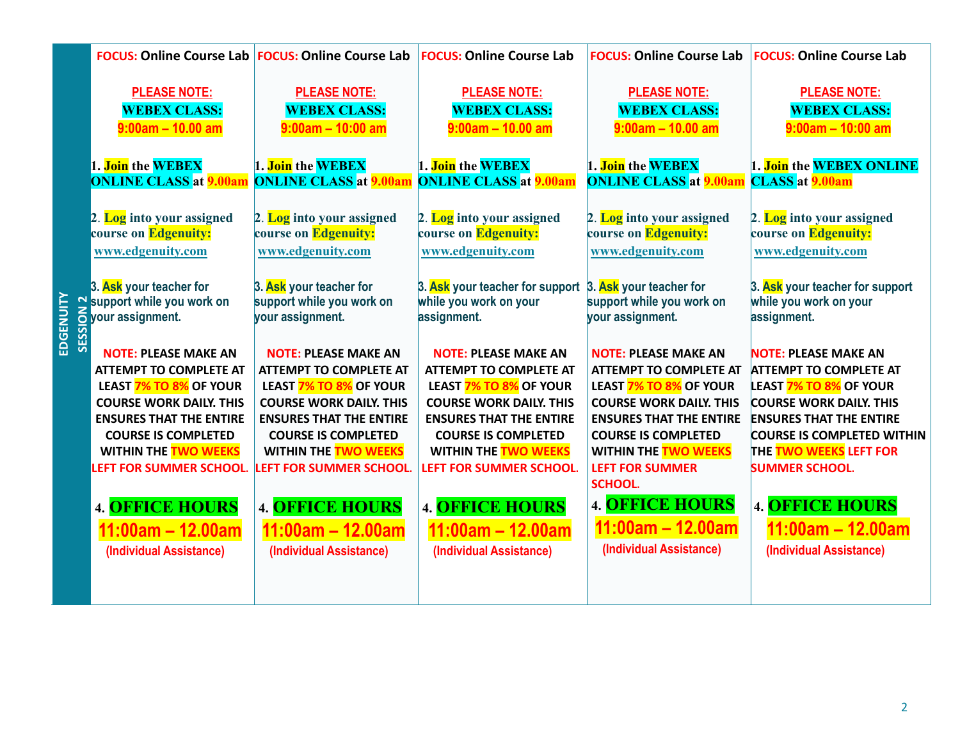|            |                                                   | <b>FOCUS: Online Course Lab FOCUS: Online Course Lab</b> | <b>FOCUS: Online Course Lab</b>                          | <b>FOCUS: Online Course Lab</b>                                    | <b>FOCUS: Online Course Lab</b>                 |
|------------|---------------------------------------------------|----------------------------------------------------------|----------------------------------------------------------|--------------------------------------------------------------------|-------------------------------------------------|
|            | <b>PLEASE NOTE:</b>                               | <b>PLEASE NOTE:</b>                                      | <b>PLEASE NOTE:</b>                                      | <b>PLEASE NOTE:</b>                                                | <b>PLEASE NOTE:</b>                             |
|            | <b>WEBEX CLASS:</b>                               | <b>WEBEX CLASS:</b>                                      | <b>WEBEX CLASS:</b>                                      | <b>WEBEX CLASS:</b>                                                | <b>WEBEX CLASS:</b>                             |
|            | $9:00am - 10.00am$                                | $9:00am - 10:00am$                                       | $9:00am - 10.00am$                                       | $9:00am - 10.00am$                                                 | $9:00am - 10:00am$                              |
|            | 1. Join the WEBEX                                 | 1. Join the WEBEX                                        | 1. Join the WEBEX                                        | 1. Join the WEBEX                                                  | 1. Join the WEBEX ONLINE                        |
|            | <b>ONLINE CLASS at 9.00am</b>                     | <b>ONLINE CLASS at 9.00am</b>                            | <b>ONLINE CLASS at 9.00am</b>                            | <b>ONLINE CLASS at 9.00am</b>                                      | <b>CLASS</b> at <b>9.00am</b>                   |
|            | 2. Log into your assigned                         | 2. Log into your assigned                                | 2. Log into your assigned                                | 2. Log into your assigned                                          | 2. Log into your assigned                       |
|            | course on Edgenuity:                              | course on Edgenuity:                                     | course on Edgenuity:                                     | course on Edgenuity:                                               | course on Edgenuity:                            |
|            | www.edgenuity.com                                 | www.edgenuity.com                                        | www.edgenuity.com                                        | www.edgenuity.com                                                  | www.edgenuity.com                               |
|            | 3. Ask your teacher for                           | 3. Ask your teacher for                                  | 3. Ask your teacher for support                          | 3. Ask your teacher for                                            | 3. Ask your teacher for support                 |
|            | Support while you work on                         | support while you work on                                | while you work on your                                   | support while you work on                                          | while you work on your                          |
|            | o your assignment.                                | your assignment.                                         | assignment.                                              | your assignment.                                                   | assignment.                                     |
| <b>SES</b> | <b>NOTE: PLEASE MAKE AN</b>                       | <b>NOTE: PLEASE MAKE AN</b>                              | <b>NOTE: PLEASE MAKE AN</b>                              | <b>NOTE: PLEASE MAKE AN</b>                                        | <b>NOTE: PLEASE MAKE AN</b>                     |
|            | <b>ATTEMPT TO COMPLETE AT</b>                     | <b>ATTEMPT TO COMPLETE AT</b>                            | <b>ATTEMPT TO COMPLETE AT</b>                            | <b>ATTEMPT TO COMPLETE AT</b>                                      | <b>ATTEMPT TO COMPLETE AT</b>                   |
|            | LEAST 7% TO 8% OF YOUR                            | LEAST 7% TO 8% OF YOUR                                   | LEAST 7% TO 8% OF YOUR                                   | LEAST 7% TO 8% OF YOUR                                             | <b>LEAST 7% TO 8% OF YOUR</b>                   |
|            | <b>COURSE WORK DAILY. THIS</b>                    | <b>COURSE WORK DAILY. THIS</b>                           | <b>COURSE WORK DAILY. THIS</b>                           | <b>COURSE WORK DAILY. THIS</b>                                     | <b>COURSE WORK DAILY. THIS</b>                  |
|            | <b>ENSURES THAT THE ENTIRE</b>                    | <b>ENSURES THAT THE ENTIRE</b>                           | <b>ENSURES THAT THE ENTIRE</b>                           | <b>ENSURES THAT THE ENTIRE</b>                                     | <b>ENSURES THAT THE ENTIRE</b>                  |
|            | <b>COURSE IS COMPLETED</b>                        | <b>COURSE IS COMPLETED</b>                               | <b>COURSE IS COMPLETED</b>                               | <b>COURSE IS COMPLETED</b>                                         | <b>COURSE IS COMPLETED WITHIN</b>               |
|            | <b>WITHIN THE TWO WEEKS</b>                       | <b>WITHIN THE TWO WEEKS</b>                              | <b>WITHIN THE TWO WEEKS</b>                              | <b>WITHIN THE TWO WEEKS</b>                                        | THE TWO WEEKS LEFT FOR                          |
|            | LEFT FOR SUMMER SCHOOL.<br><b>4. OFFICE HOURS</b> | LEFT FOR SUMMER SCHOOL.<br><b>4. OFFICE HOURS</b>        | <b>LEFT FOR SUMMER SCHOOL.</b><br><b>4. OFFICE HOURS</b> | <b>LEFT FOR SUMMER</b><br><b>SCHOOL.</b><br><b>4. OFFICE HOURS</b> | <b>SUMMER SCHOOL.</b><br><b>4. OFFICE HOURS</b> |
|            | 11:00am - 12.00am                                 | $11:00am - 12.00am$                                      | $11:00am - 12.00am$                                      | $11:00am - 12.00am$                                                | $11:00am - 12.00am$                             |
|            | (Individual Assistance)                           | (Individual Assistance)                                  | (Individual Assistance)                                  | (Individual Assistance)                                            | (Individual Assistance)                         |
|            |                                                   |                                                          |                                                          |                                                                    |                                                 |

**EDGENUITY**